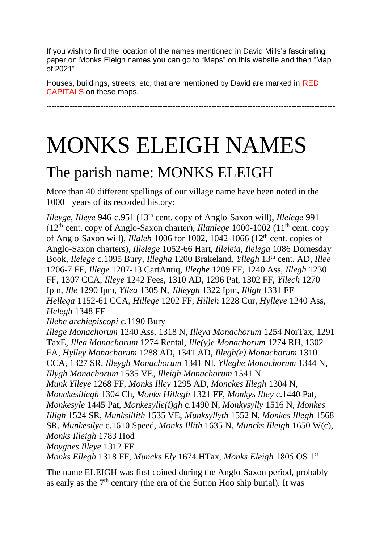If you wish to find the location of the names mentioned in David Mills's fascinating paper on Monks Eleigh names you can go to "Maps" on this website and then "Map of 2021"

----------------------------------------------------------------------------------------------------------------

Houses, buildings, streets, etc, that are mentioned by David are marked in RED CAPITALS on these maps.

MONKS ELEIGH NAMES

#### The parish name: MONKS ELEIGH

More than 40 different spellings of our village name have been noted in the 1000+ years of its recorded history:

*Illeyge*, *Illeye* 946-c.951 (13th cent. copy of Anglo-Saxon will), *Illelege* 991 ( $12<sup>th</sup>$  cent. copy of Anglo-Saxon charter), *Illanlege* 1000-1002 ( $11<sup>th</sup>$  cent. copy of Anglo-Saxon will), *Illaleh* 1006 for 1002, 1042-1066 (12th cent. copies of Anglo-Saxon charters), *Illelege* 1052-66 Hart, *Illeleia*, *Ilelega* 1086 Domesday Book, *Ilelege* c.1095 Bury, *Illegha* 1200 Brakeland, *Yllegh* 13th cent. AD, *Illee* 1206-7 FF, *Illege* 1207-13 CartAntiq, *Illeghe* 1209 FF, 1240 Ass, *Illegh* 1230 FF, 1307 CCA, *Illeye* 1242 Fees, 1310 AD, 1296 Pat, 1302 FF, *Yllech* 1270 Ipm, *Ille* 1290 Ipm, *Yllea* 1305 N, *Jilleygh* 1322 Ipm, *Illigh* 1331 FF *Hellega* 1152-61 CCA, *Hillege* 1202 FF, *Hilleh* 1228 Cur, *Hylleye* 1240 Ass, *Helegh* 1348 FF

*Illehe archiepiscopi* c.1190 Bury

*Illege Monachorum* 1240 Ass, 1318 N, *Illeya Monachorum* 1254 NorTax, 1291 TaxE, *Illea Monachorum* 1274 Rental, *Ille(y)e Monachorum* 1274 RH, 1302 FA, *Hylley Monachorum* 1288 AD, 1341 AD, *Illegh(e) Monachorum* 1310 CCA, 1327 SR, *Illeygh Monachorum* 1341 NI, *Ylleghe Monachorum* 1344 N, *Illygh Monachorum* 1535 VE, *Illeigh Monachorum* 1541 N *Munk Ylleye* 1268 FF, *Monks Illey* 1295 AD, *Monckes Illegh* 1304 N, *Monekesillegh* 1304 Ch, *Monks Hillegh* 1321 FF, *Monkys Illey* c.1440 Pat, *Monkesyle* 1445 Pat, *Monkesylle(i)gh* c.1490 N, *Monkysylly* 1516 N, *Monkes Illigh* 1524 SR, *Munksillith* 1535 VE, *Munksyllyth* 1552 N, *Monkes Illegh* 1568 SR*, Munkesilye* c.1610 Speed, *Monks Illith* 1635 N, *Muncks Illeigh* 1650 W(c), *Monks Illeigh* 1783 Hod

*Moygnes Illeye* 1312 FF

*Monks Ellegh* 1318 FF, *Muncks Ely* 1674 HTax, *Monks Eleigh* 1805 OS 1"

The name ELEIGH was first coined during the Anglo-Saxon period, probably as early as the  $7<sup>th</sup>$  century (the era of the Sutton Hoo ship burial). It was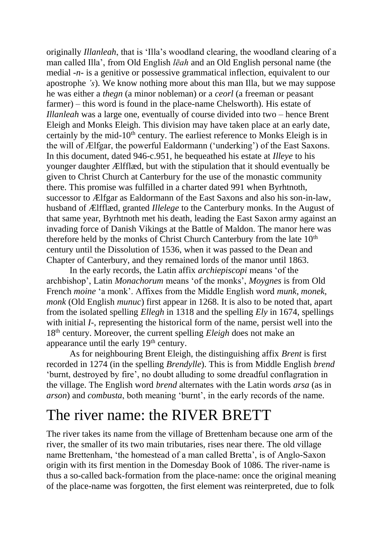originally *Illanleah*, that is 'Illa's woodland clearing, the woodland clearing of a man called Illa', from Old English *lēah* and an Old English personal name (the medial *-n-* is a genitive or possessive grammatical inflection, equivalent to our apostrophe *'s*). We know nothing more about this man Illa, but we may suppose he was either a *thegn* (a minor nobleman) or a *ceorl* (a freeman or peasant farmer) – this word is found in the place-name Chelsworth). His estate of *Illanleah* was a large one, eventually of course divided into two – hence Brent Eleigh and Monks Eleigh. This division may have taken place at an early date, certainly by the mid- $10<sup>th</sup>$  century. The earliest reference to Monks Eleigh is in the will of Ælfgar, the powerful Ealdormann ('underking') of the East Saxons. In this document, dated 946-c.951, he bequeathed his estate at *Illeye* to his younger daughter Ælfflæd, but with the stipulation that it should eventually be given to Christ Church at Canterbury for the use of the monastic community there. This promise was fulfilled in a charter dated 991 when Byrhtnoth, successor to Ælfgar as Ealdormann of the East Saxons and also his son-in-law, husband of Ælfflæd, granted *Illelege* to the Canterbury monks. In the August of that same year, Byrhtnoth met his death, leading the East Saxon army against an invading force of Danish Vikings at the Battle of Maldon. The manor here was therefore held by the monks of Christ Church Canterbury from the late  $10<sup>th</sup>$ century until the Dissolution of 1536, when it was passed to the Dean and Chapter of Canterbury, and they remained lords of the manor until 1863.

In the early records, the Latin affix *archiepiscopi* means 'of the archbishop', Latin *Monachorum* means 'of the monks', *Moygnes* is from Old French *moine* 'a monk'. Affixes from the Middle English word *munk*, *monek*, *monk* (Old English *munuc*) first appear in 1268. It is also to be noted that, apart from the isolated spelling *Ellegh* in 1318 and the spelling *Ely* in 1674, spellings with initial *I*-, representing the historical form of the name, persist well into the 18th century. Moreover, the current spelling *Eleigh* does not make an appearance until the early 19<sup>th</sup> century.

As for neighbouring Brent Eleigh, the distinguishing affix *Brent* is first recorded in 1274 (in the spelling *Brendylle*). This is from Middle English *brend* 'burnt, destroyed by fire', no doubt alluding to some dreadful conflagration in the village. The English word *brend* alternates with the Latin words *arsa* (as in *arson*) and *combusta*, both meaning 'burnt', in the early records of the name.

#### The river name: the RIVER BRETT

The river takes its name from the village of Brettenham because one arm of the river, the smaller of its two main tributaries, rises near there. The old village name Brettenham, 'the homestead of a man called Bretta', is of Anglo-Saxon origin with its first mention in the Domesday Book of 1086. The river-name is thus a so-called back-formation from the place-name: once the original meaning of the place-name was forgotten, the first element was reinterpreted, due to folk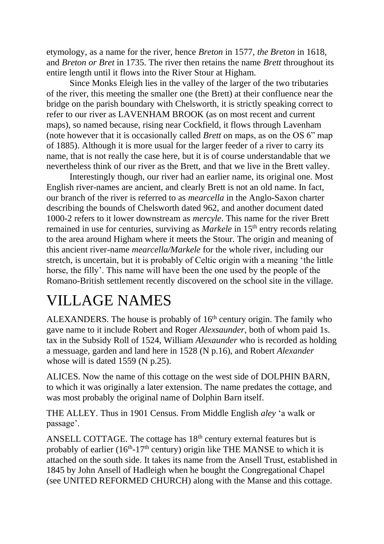etymology, as a name for the river, hence *Breton* in 1577, *the Breton* in 1618, and *Breton or Bret* in 1735. The river then retains the name *Brett* throughout its entire length until it flows into the River Stour at Higham.

Since Monks Eleigh lies in the valley of the larger of the two tributaries of the river, this meeting the smaller one (the Brett) at their confluence near the bridge on the parish boundary with Chelsworth, it is strictly speaking correct to refer to our river as LAVENHAM BROOK (as on most recent and current maps), so named because, rising near Cockfield, it flows through Lavenham (note however that it is occasionally called *Brett* on maps, as on the OS 6" map of 1885). Although it is more usual for the larger feeder of a river to carry its name, that is not really the case here, but it is of course understandable that we nevertheless think of our river as the Brett, and that we live in the Brett valley.

Interestingly though, our river had an earlier name, its original one. Most English river-names are ancient, and clearly Brett is not an old name. In fact, our branch of the river is referred to as *mearcella* in the Anglo-Saxon charter describing the bounds of Chelsworth dated 962, and another document dated 1000-2 refers to it lower downstream as *mercyle*. This name for the river Brett remained in use for centuries, surviving as *Markele* in 15<sup>th</sup> entry records relating to the area around Higham where it meets the Stour. The origin and meaning of this ancient river-name *mearcella/Markele* for the whole river, including our stretch, is uncertain, but it is probably of Celtic origin with a meaning 'the little horse, the filly'. This name will have been the one used by the people of the Romano-British settlement recently discovered on the school site in the village.

#### VILLAGE NAMES

ALEXANDERS. The house is probably of  $16<sup>th</sup>$  century origin. The family who gave name to it include Robert and Roger *Alexsaunder*, both of whom paid 1s. tax in the Subsidy Roll of 1524, William *Alexaunder* who is recorded as holding a messuage, garden and land here in 1528 (N p.16), and Robert *Alexander*  whose will is dated 1559 (N p.25).

ALICES. Now the name of this cottage on the west side of DOLPHIN BARN, to which it was originally a later extension. The name predates the cottage, and was most probably the original name of Dolphin Barn itself.

THE ALLEY. Thus in 1901 Census. From Middle English *aley* 'a walk or passage'.

ANSELL COTTAGE. The cottage has  $18<sup>th</sup>$  century external features but is probably of earlier  $(16<sup>th</sup>-17<sup>th</sup>$  century) origin like THE MANSE to which it is attached on the south side. It takes its name from the Ansell Trust, established in 1845 by John Ansell of Hadleigh when he bought the Congregational Chapel (see UNITED REFORMED CHURCH) along with the Manse and this cottage.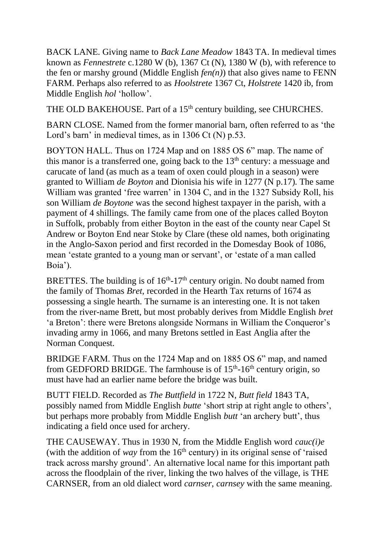BACK LANE. Giving name to *Back Lane Meadow* 1843 TA. In medieval times known as *Fennestrete* c.1280 W (b), 1367 Ct (N), 1380 W (b), with reference to the fen or marshy ground (Middle English  $fen(n)$ ) that also gives name to FENN FARM. Perhaps also referred to as *Hoolstrete* 1367 Ct, *Holstrete* 1420 ib, from Middle English *hol* 'hollow'.

THE OLD BAKEHOUSE. Part of a 15<sup>th</sup> century building, see CHURCHES.

BARN CLOSE. Named from the former manorial barn, often referred to as 'the Lord's barn' in medieval times, as in 1306 Ct (N) p.53.

BOYTON HALL. Thus on 1724 Map and on 1885 OS 6" map. The name of this manor is a transferred one, going back to the  $13<sup>th</sup>$  century: a messuage and carucate of land (as much as a team of oxen could plough in a season) were granted to William *de Boyton* and Dionisia his wife in 1277 (N p.17). The same William was granted 'free warren' in 1304 C, and in the 1327 Subsidy Roll, his son William *de Boytone* was the second highest taxpayer in the parish, with a payment of 4 shillings. The family came from one of the places called Boyton in Suffolk, probably from either Boyton in the east of the county near Capel St Andrew or Boyton End near Stoke by Clare (these old names, both originating in the Anglo-Saxon period and first recorded in the Domesday Book of 1086, mean 'estate granted to a young man or servant', or 'estate of a man called Boia').

BRETTES. The building is of  $16<sup>th</sup>$ -17<sup>th</sup> century origin. No doubt named from the family of Thomas *Bret*, recorded in the Hearth Tax returns of 1674 as possessing a single hearth. The surname is an interesting one. It is not taken from the river-name Brett, but most probably derives from Middle English *bret* 'a Breton': there were Bretons alongside Normans in William the Conqueror's invading army in 1066, and many Bretons settled in East Anglia after the Norman Conquest.

BRIDGE FARM. Thus on the 1724 Map and on 1885 OS 6" map, and named from GEDFORD BRIDGE. The farmhouse is of  $15<sup>th</sup>$ -16<sup>th</sup> century origin, so must have had an earlier name before the bridge was built.

BUTT FIELD. Recorded as *The Buttfield* in 1722 N, *Butt field* 1843 TA, possibly named from Middle English *butte* 'short strip at right angle to others', but perhaps more probably from Middle English *butt* 'an archery butt', thus indicating a field once used for archery.

THE CAUSEWAY. Thus in 1930 N, from the Middle English word *cauc(i)e* (with the addition of *way* from the  $16<sup>th</sup>$  century) in its original sense of 'raised track across marshy ground'. An alternative local name for this important path across the floodplain of the river, linking the two halves of the village, is THE CARNSER, from an old dialect word *carnser*, *carnsey* with the same meaning.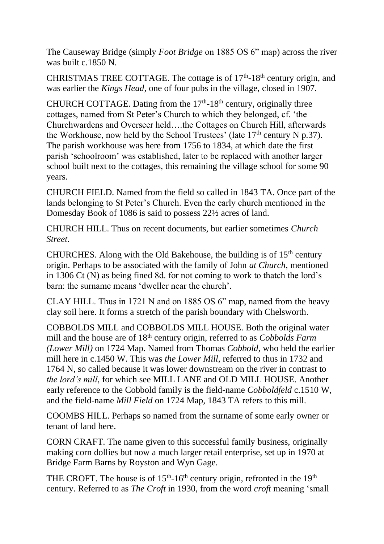The Causeway Bridge (simply *Foot Bridge* on 1885 OS 6" map) across the river was built c.1850 N.

CHRISTMAS TREE COTTAGE. The cottage is of  $17<sup>th</sup>$ -18<sup>th</sup> century origin, and was earlier the *Kings Head*, one of four pubs in the village, closed in 1907.

CHURCH COTTAGE. Dating from the  $17<sup>th</sup>$ -18<sup>th</sup> century, originally three cottages, named from St Peter's Church to which they belonged, cf. 'the Churchwardens and Overseer held….the Cottages on Church Hill, afterwards the Workhouse, now held by the School Trustees' (late  $17<sup>th</sup>$  century N p.37). The parish workhouse was here from 1756 to 1834, at which date the first parish 'schoolroom' was established, later to be replaced with another larger school built next to the cottages, this remaining the village school for some 90 years.

CHURCH FIELD. Named from the field so called in 1843 TA. Once part of the lands belonging to St Peter's Church. Even the early church mentioned in the Domesday Book of 1086 is said to possess 22½ acres of land.

CHURCH HILL. Thus on recent documents, but earlier sometimes *Church Street*.

CHURCHES. Along with the Old Bakehouse, the building is of  $15<sup>th</sup>$  century origin. Perhaps to be associated with the family of John *at Church*, mentioned in 1306 Ct (N) as being fined 8d. for not coming to work to thatch the lord's barn: the surname means 'dweller near the church'.

CLAY HILL. Thus in 1721 N and on 1885 OS 6" map, named from the heavy clay soil here. It forms a stretch of the parish boundary with Chelsworth.

COBBOLDS MILL and COBBOLDS MILL HOUSE. Both the original water mill and the house are of 18<sup>th</sup> century origin, referred to as *Cobbolds Farm (Lower Mill)* on 1724 Map. Named from Thomas *Cobbold*, who held the earlier mill here in c.1450 W. This was *the Lower Mill*, referred to thus in 1732 and 1764 N, so called because it was lower downstream on the river in contrast to *the lord's mill*, for which see MILL LANE and OLD MILL HOUSE. Another early reference to the Cobbold family is the field-name *Cobboldfeld* c.1510 W, and the field-name *Mill Field* on 1724 Map, 1843 TA refers to this mill.

COOMBS HILL. Perhaps so named from the surname of some early owner or tenant of land here.

CORN CRAFT. The name given to this successful family business, originally making corn dollies but now a much larger retail enterprise, set up in 1970 at Bridge Farm Barns by Royston and Wyn Gage.

THE CROFT. The house is of  $15<sup>th</sup>$ -16<sup>th</sup> century origin, refronted in the  $19<sup>th</sup>$ century. Referred to as *The Croft* in 1930, from the word *croft* meaning 'small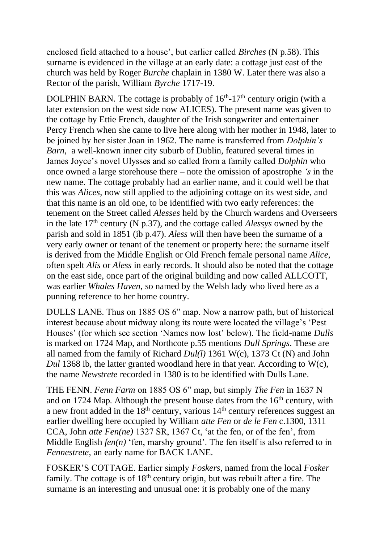enclosed field attached to a house', but earlier called *Birches* (N p.58). This surname is evidenced in the village at an early date: a cottage just east of the church was held by Roger *Burche* chaplain in 1380 W. Later there was also a Rector of the parish, William *Byrche* 1717-19.

DOLPHIN BARN. The cottage is probably of  $16<sup>th</sup>$ -17<sup>th</sup> century origin (with a later extension on the west side now ALICES). The present name was given to the cottage by Ettie French, daughter of the Irish songwriter and entertainer Percy French when she came to live here along with her mother in 1948, later to be joined by her sister Joan in 1962. The name is transferred from *Dolphin's Barn*, a well-known inner city suburb of Dublin, featured several times in James Joyce's novel Ulysses and so called from a family called *Dolphin* who once owned a large storehouse there – note the omission of apostrophe *'s* in the new name. The cottage probably had an earlier name, and it could well be that this was *Alices*, now still applied to the adjoining cottage on its west side, and that this name is an old one, to be identified with two early references: the tenement on the Street called *Alesses* held by the Church wardens and Overseers in the late  $17<sup>th</sup>$  century (N p.37), and the cottage called *Alessys* owned by the parish and sold in 1851 (ib p.47). *Aless* will then have been the surname of a very early owner or tenant of the tenement or property here: the surname itself is derived from the Middle English or Old French female personal name *Alice*, often spelt *Alis* or *Aless* in early records. It should also be noted that the cottage on the east side, once part of the original building and now called ALLCOTT, was earlier *Whales Haven*, so named by the Welsh lady who lived here as a punning reference to her home country.

DULLS LANE. Thus on 1885 OS 6" map. Now a narrow path, but of historical interest because about midway along its route were located the village's 'Pest Houses' (for which see section 'Names now lost' below). The field-name *Dulls* is marked on 1724 Map, and Northcote p.55 mentions *Dull Springs*. These are all named from the family of Richard *Dul(l)* 1361 W(c), 1373 Ct (N) and John *Dul* 1368 ib, the latter granted woodland here in that year. According to W(c), the name *Newstrete* recorded in 1380 is to be identified with Dulls Lane.

THE FENN. *Fenn Farm* on 1885 OS 6" map, but simply *The Fen* in 1637 N and on 1724 Map. Although the present house dates from the  $16<sup>th</sup>$  century, with a new front added in the  $18<sup>th</sup>$  century, various  $14<sup>th</sup>$  century references suggest an earlier dwelling here occupied by William *atte Fen* or *de le Fen* c.1300, 1311 CCA, John *atte Fen(ne)* 1327 SR, 1367 Ct, 'at the fen, or of the fen', from Middle English *fen(n)* 'fen, marshy ground'. The fen itself is also referred to in *Fennestrete*, an early name for BACK LANE.

FOSKER'S COTTAGE. Earlier simply *Foskers*, named from the local *Fosker* family. The cottage is of  $18<sup>th</sup>$  century origin, but was rebuilt after a fire. The surname is an interesting and unusual one: it is probably one of the many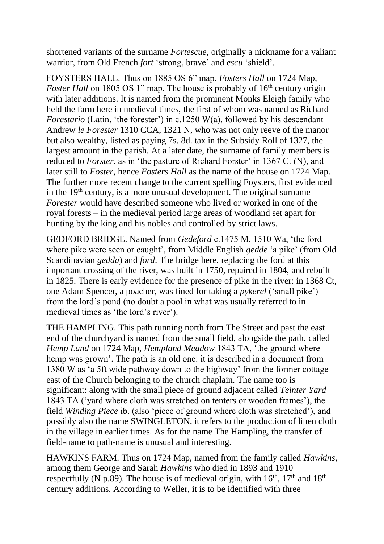shortened variants of the surname *Fortescue*, originally a nickname for a valiant warrior, from Old French *fort* 'strong, brave' and *escu* 'shield'.

FOYSTERS HALL. Thus on 1885 OS 6" map, *Fosters Hall* on 1724 Map, *Foster Hall* on 1805 OS 1" map. The house is probably of 16<sup>th</sup> century origin with later additions. It is named from the prominent Monks Eleigh family who held the farm here in medieval times, the first of whom was named as Richard *Forestario* (Latin, 'the forester') in c.1250 W(a), followed by his descendant Andrew *le Forester* 1310 CCA, 1321 N, who was not only reeve of the manor but also wealthy, listed as paying 7s. 8d. tax in the Subsidy Roll of 1327, the largest amount in the parish. At a later date, the surname of family members is reduced to *Forster*, as in 'the pasture of Richard Forster' in 1367 Ct (N), and later still to *Foster*, hence *Fosters Hall* as the name of the house on 1724 Map. The further more recent change to the current spelling Foysters, first evidenced in the 19th century, is a more unusual development. The original surname *Forester* would have described someone who lived or worked in one of the royal forests – in the medieval period large areas of woodland set apart for hunting by the king and his nobles and controlled by strict laws.

GEDFORD BRIDGE. Named from *Gedeford* c.1475 M, 1510 Wa, 'the ford where pike were seen or caught', from Middle English *gedde* 'a pike' (from Old Scandinavian *gedda*) and *ford*. The bridge here, replacing the ford at this important crossing of the river, was built in 1750, repaired in 1804, and rebuilt in 1825. There is early evidence for the presence of pike in the river: in 1368 Ct, one Adam Spencer, a poacher, was fined for taking a *pykerel* ('small pike') from the lord's pond (no doubt a pool in what was usually referred to in medieval times as 'the lord's river').

THE HAMPLING. This path running north from The Street and past the east end of the churchyard is named from the small field, alongside the path, called *Hemp Land* on 1724 Map, *Hempland Meadow* 1843 TA, 'the ground where hemp was grown'. The path is an old one: it is described in a document from 1380 W as 'a 5ft wide pathway down to the highway' from the former cottage east of the Church belonging to the church chaplain. The name too is significant: along with the small piece of ground adjacent called *Teinter Yard* 1843 TA ('yard where cloth was stretched on tenters or wooden frames'), the field *Winding Piece* ib. (also 'piece of ground where cloth was stretched'), and possibly also the name SWINGLETON, it refers to the production of linen cloth in the village in earlier times. As for the name The Hampling, the transfer of field-name to path-name is unusual and interesting.

HAWKINS FARM. Thus on 1724 Map, named from the family called *Hawkins*, among them George and Sarah *Hawkins* who died in 1893 and 1910 respectfully (N p.89). The house is of medieval origin, with  $16<sup>th</sup>$ ,  $17<sup>th</sup>$  and  $18<sup>th</sup>$ century additions. According to Weller, it is to be identified with three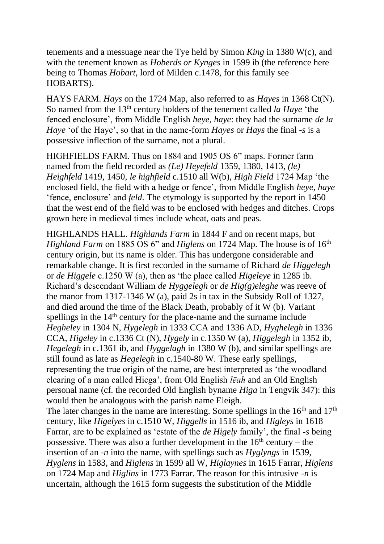tenements and a messuage near the Tye held by Simon *King* in 1380 W(c), and with the tenement known as *Hoberds or Kynges* in 1599 ib (the reference here being to Thomas *Hobart*, lord of Milden c.1478, for this family see HOBARTS).

HAYS FARM. *Hays* on the 1724 Map, also referred to as *Hayes* in 1368 Ct(N). So named from the 13th century holders of the tenement called *la Haye* 'the fenced enclosure', from Middle English *heye*, *haye*: they had the surname *de la Haye* 'of the Haye', so that in the name-form *Hayes* or *Hays* the final *-s* is a possessive inflection of the surname, not a plural.

HIGHFIELDS FARM. Thus on 1884 and 1905 OS 6" maps. Former farm named from the field recorded as *(Le) Heyefeld* 1359, 1380, 1413, *(le) Heighfeld* 1419, 1450, *le highfield* c.1510 all W(b), *High Field* 1724 Map 'the enclosed field, the field with a hedge or fence', from Middle English *heye*, *haye* 'fence, enclosure' and *feld*. The etymology is supported by the report in 1450 that the west end of the field was to be enclosed with hedges and ditches. Crops grown here in medieval times include wheat, oats and peas.

HIGHLANDS HALL. *Highlands Farm* in 1844 F and on recent maps, but *Highland Farm* on 1885 OS 6" and *Higlens* on 1724 Map. The house is of 16<sup>th</sup> century origin, but its name is older. This has undergone considerable and remarkable change. It is first recorded in the surname of Richard *de Higgelegh* or *de Higgele* c.1250 W (a), then as 'the place called *Higeleye* in 1285 ib. Richard's descendant William *de Hyggelegh* or *de Hig(g)eleghe* was reeve of the manor from 1317-1346 W (a), paid 2s in tax in the Subsidy Roll of 1327, and died around the time of the Black Death, probably of it W (b). Variant spellings in the 14<sup>th</sup> century for the place-name and the surname include *Hegheley* in 1304 N, *Hygelegh* in 1333 CCA and 1336 AD, *Hyghelegh* in 1336 CCA, *Higeley* in c.1336 Ct (N), *Hygely* in c.1350 W (a), *Higgelegh* in 1352 ib, *Hegelegh* in c.1361 ib, and *Hyggelagh* in 1380 W (b), and similar spellings are still found as late as *Hegelegh* in c.1540-80 W. These early spellings, representing the true origin of the name, are best interpreted as 'the woodland clearing of a man called Hicga', from Old English *lēah* and an Old English personal name (cf. the recorded Old English byname *Higa* in Tengvik 347): this would then be analogous with the parish name Eleigh.

The later changes in the name are interesting. Some spellings in the  $16<sup>th</sup>$  and  $17<sup>th</sup>$ century, like *Higelyes* in c.1510 W, *Higgells* in 1516 ib, and *Higleys* in 1618 Farrar, are to be explained as 'estate of the *de Higely* family', the final -*s* being possessive. There was also a further development in the  $16<sup>th</sup>$  century – the insertion of an -*n* into the name, with spellings such as *Hyglyngs* in 1539, *Hyglens* in 1583, and *Higlens* in 1599 all W, *Higlaynes* in 1615 Farrar, *Higlens* on 1724 Map and *Higlins* in 1773 Farrar. The reason for this intrusive -*n* is uncertain, although the 1615 form suggests the substitution of the Middle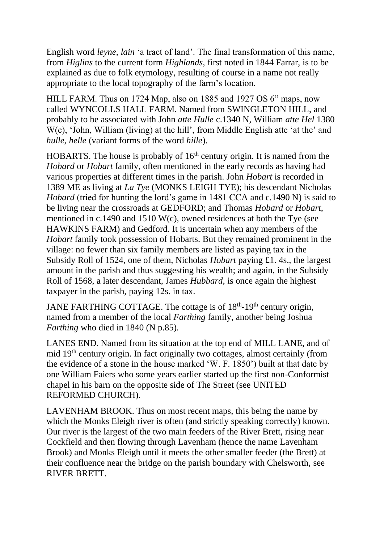English word *leyne*, *lain* 'a tract of land'. The final transformation of this name, from *Higlins* to the current form *Highlands*, first noted in 1844 Farrar, is to be explained as due to folk etymology, resulting of course in a name not really appropriate to the local topography of the farm's location.

HILL FARM. Thus on 1724 Map, also on 1885 and 1927 OS 6" maps, now called WYNCOLLS HALL FARM. Named from SWINGLETON HILL, and probably to be associated with John *atte Hulle* c.1340 N, William *atte Hel* 1380 W(c), 'John, William (living) at the hill', from Middle English atte 'at the' and *hulle*, *helle* (variant forms of the word *hille*).

HOBARTS. The house is probably of  $16<sup>th</sup>$  century origin. It is named from the *Hobard* or *Hobart* family, often mentioned in the early records as having had various properties at different times in the parish. John *Hobart* is recorded in 1389 ME as living at *La Tye* (MONKS LEIGH TYE); his descendant Nicholas *Hobard* (tried for hunting the lord's game in 1481 CCA and c.1490 N) is said to be living near the crossroads at GEDFORD; and Thomas *Hobard* or *Hobart*, mentioned in c.1490 and 1510 W(c), owned residences at both the Tye (see HAWKINS FARM) and Gedford. It is uncertain when any members of the *Hobart* family took possession of Hobarts. But they remained prominent in the village: no fewer than six family members are listed as paying tax in the Subsidy Roll of 1524, one of them, Nicholas *Hobart* paying £1. 4s., the largest amount in the parish and thus suggesting his wealth; and again, in the Subsidy Roll of 1568, a later descendant, James *Hubbard*, is once again the highest taxpayer in the parish, paying 12s. in tax.

JANE FARTHING COTTAGE. The cottage is of 18<sup>th</sup>-19<sup>th</sup> century origin, named from a member of the local *Farthing* family, another being Joshua *Farthing* who died in 1840 (N p.85).

LANES END. Named from its situation at the top end of MILL LANE, and of mid 19th century origin. In fact originally two cottages, almost certainly (from the evidence of a stone in the house marked 'W. F. 1850') built at that date by one William Faiers who some years earlier started up the first non-Conformist chapel in his barn on the opposite side of The Street (see UNITED REFORMED CHURCH).

LAVENHAM BROOK. Thus on most recent maps, this being the name by which the Monks Eleigh river is often (and strictly speaking correctly) known. Our river is the largest of the two main feeders of the River Brett, rising near Cockfield and then flowing through Lavenham (hence the name Lavenham Brook) and Monks Eleigh until it meets the other smaller feeder (the Brett) at their confluence near the bridge on the parish boundary with Chelsworth, see RIVER BRETT.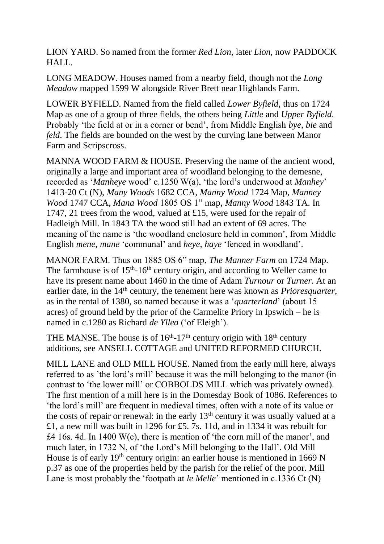LION YARD. So named from the former *Red Lion*, later *Lion*, now PADDOCK HALL.

LONG MEADOW. Houses named from a nearby field, though not the *Long Meadow* mapped 1599 W alongside River Brett near Highlands Farm.

LOWER BYFIELD. Named from the field called *Lower Byfield*, thus on 1724 Map as one of a group of three fields, the others being *Little* and *Upper Byfield*. Probably 'the field at or in a corner or bend', from Middle English *bye*, *bie* and *feld*. The fields are bounded on the west by the curving lane between Manor Farm and Scripscross.

MANNA WOOD FARM & HOUSE. Preserving the name of the ancient wood, originally a large and important area of woodland belonging to the demesne, recorded as '*Manheye* wood' c.1250 W(a), 'the lord's underwood at *Manhey*' 1413-20 Ct (N), *Many Woods* 1682 CCA, *Manny Wood* 1724 Map, *Manney Wood* 1747 CCA, *Mana Wood* 1805 OS 1" map, *Manny Wood* 1843 TA. In 1747, 21 trees from the wood, valued at £15, were used for the repair of Hadleigh Mill. In 1843 TA the wood still had an extent of 69 acres. The meaning of the name is 'the woodland enclosure held in common', from Middle English *mene*, *mane* 'communal' and *heye*, *haye* 'fenced in woodland'.

MANOR FARM. Thus on 1885 OS 6" map, *The Manner Farm* on 1724 Map. The farmhouse is of  $15<sup>th</sup>$ -16<sup>th</sup> century origin, and according to Weller came to have its present name about 1460 in the time of Adam *Turnour* or *Turner*. At an earlier date, in the 14<sup>th</sup> century, the tenement here was known as *Prioresquarter*, as in the rental of 1380, so named because it was a '*quarterland*' (about 15 acres) of ground held by the prior of the Carmelite Priory in Ipswich – he is named in c.1280 as Richard *de Yllea* ('of Eleigh').

THE MANSE. The house is of  $16<sup>th</sup>$ -17<sup>th</sup> century origin with  $18<sup>th</sup>$  century additions, see ANSELL COTTAGE and UNITED REFORMED CHURCH.

MILL LANE and OLD MILL HOUSE. Named from the early mill here, always referred to as 'the lord's mill' because it was the mill belonging to the manor (in contrast to 'the lower mill' or COBBOLDS MILL which was privately owned). The first mention of a mill here is in the Domesday Book of 1086. References to 'the lord's mill' are frequent in medieval times, often with a note of its value or the costs of repair or renewal: in the early  $13<sup>th</sup>$  century it was usually valued at a £1, a new mill was built in 1296 for £5. 7s. 11d, and in 1334 it was rebuilt for £4 16s. 4d. In 1400 W(c), there is mention of 'the corn mill of the manor', and much later, in 1732 N, of 'the Lord's Mill belonging to the Hall'. Old Mill House is of early  $19<sup>th</sup>$  century origin: an earlier house is mentioned in 1669 N p.37 as one of the properties held by the parish for the relief of the poor. Mill Lane is most probably the 'footpath at *le Melle*' mentioned in c.1336 Ct (N)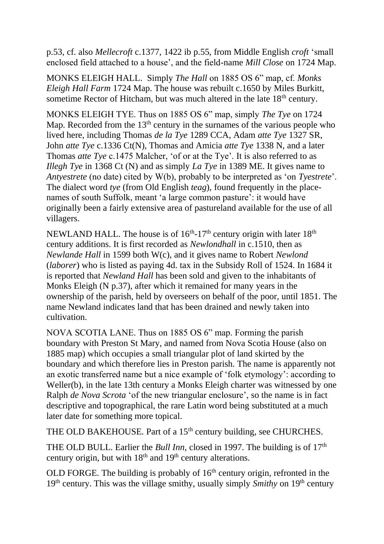p.53, cf. also *Mellecroft* c.1377, 1422 ib p.55, from Middle English *croft* 'small enclosed field attached to a house', and the field-name *Mill Close* on 1724 Map.

MONKS ELEIGH HALL. Simply *The Hall* on 1885 OS 6" map, cf. *Monks Eleigh Hall Farm* 1724 Map. The house was rebuilt c.1650 by Miles Burkitt, sometime Rector of Hitcham, but was much altered in the late 18<sup>th</sup> century.

MONKS ELEIGH TYE. Thus on 1885 OS 6" map, simply *The Tye* on 1724 Map. Recorded from the  $13<sup>th</sup>$  century in the surnames of the various people who lived here, including Thomas *de la Tye* 1289 CCA, Adam *atte Tye* 1327 SR, John *atte Tye* c.1336 Ct(N), Thomas and Amicia *atte Tye* 1338 N, and a later Thomas *atte Tye* c.1475 Malcher, 'of or at the Tye'. It is also referred to as *Illegh Tye* in 1368 Ct (N) and as simply *La Tye* in 1389 ME. It gives name to *Antyestrete* (no date) cited by W(b), probably to be interpreted as 'on *Tyestrete'*. The dialect word *tye* (from Old English *teag*), found frequently in the placenames of south Suffolk, meant 'a large common pasture': it would have originally been a fairly extensive area of pastureland available for the use of all villagers.

NEWLAND HALL. The house is of  $16<sup>th</sup>$ -17<sup>th</sup> century origin with later  $18<sup>th</sup>$ century additions. It is first recorded as *Newlondhall* in c.1510, then as *Newlande Hall* in 1599 both W(c), and it gives name to Robert *Newlond* (*laborer*) who is listed as paying 4d. tax in the Subsidy Roll of 1524. In 1684 it is reported that *Newland Hall* has been sold and given to the inhabitants of Monks Eleigh (N p.37), after which it remained for many years in the ownership of the parish, held by overseers on behalf of the poor, until 1851. The name Newland indicates land that has been drained and newly taken into cultivation.

NOVA SCOTIA LANE. Thus on 1885 OS 6" map. Forming the parish boundary with Preston St Mary, and named from Nova Scotia House (also on 1885 map) which occupies a small triangular plot of land skirted by the boundary and which therefore lies in Preston parish. The name is apparently not an exotic transferred name but a nice example of 'folk etymology': according to Weller(b), in the late 13th century a Monks Eleigh charter was witnessed by one Ralph *de Nova Scrota* 'of the new triangular enclosure', so the name is in fact descriptive and topographical, the rare Latin word being substituted at a much later date for something more topical.

THE OLD BAKEHOUSE. Part of a 15<sup>th</sup> century building, see CHURCHES.

THE OLD BULL. Earlier the *Bull Inn*, closed in 1997. The building is of 17<sup>th</sup> century origin, but with  $18<sup>th</sup>$  and  $19<sup>th</sup>$  century alterations.

OLD FORGE. The building is probably of  $16<sup>th</sup>$  century origin, refronted in the 19<sup>th</sup> century. This was the village smithy, usually simply *Smithy* on 19<sup>th</sup> century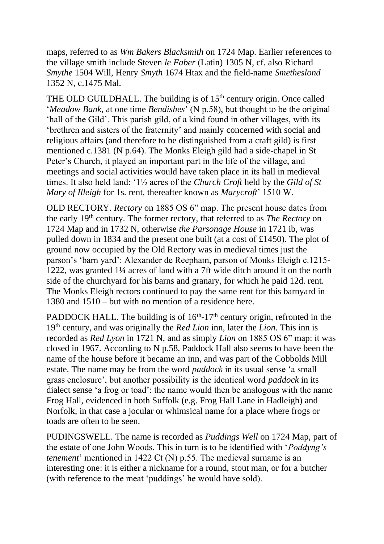maps, referred to as *Wm Bakers Blacksmith* on 1724 Map. Earlier references to the village smith include Steven *le Faber* (Latin) 1305 N, cf. also Richard *Smythe* 1504 Will, Henry *Smyth* 1674 Htax and the field-name *Smetheslond* 1352 N, c.1475 Mal.

THE OLD GUILDHALL. The building is of 15<sup>th</sup> century origin. Once called '*Meadow Bank*, at one time *Bendishes*' (N p.58), but thought to be the original 'hall of the Gild'. This parish gild, of a kind found in other villages, with its 'brethren and sisters of the fraternity' and mainly concerned with social and religious affairs (and therefore to be distinguished from a craft gild) is first mentioned c.1381 (N p.64). The Monks Eleigh gild had a side-chapel in St Peter's Church, it played an important part in the life of the village, and meetings and social activities would have taken place in its hall in medieval times. It also held land: '1½ acres of the *Church Croft* held by the *Gild of St Mary of Illeigh* for 1s. rent, thereafter known as *Marycroft*' 1510 W.

OLD RECTORY. *Rectory* on 1885 OS 6" map. The present house dates from the early 19th century. The former rectory, that referred to as *The Rectory* on 1724 Map and in 1732 N, otherwise *the Parsonage House* in 1721 ib, was pulled down in 1834 and the present one built (at a cost of £1450). The plot of ground now occupied by the Old Rectory was in medieval times just the parson's 'barn yard': Alexander de Reepham, parson of Monks Eleigh c.1215- 1222, was granted 1¼ acres of land with a 7ft wide ditch around it on the north side of the churchyard for his barns and granary, for which he paid 12d. rent. The Monks Eleigh rectors continued to pay the same rent for this barnyard in 1380 and 1510 – but with no mention of a residence here.

PADDOCK HALL. The building is of  $16<sup>th</sup>$ -17<sup>th</sup> century origin, refronted in the 19th century, and was originally the *Red Lion* inn, later the *Lion*. This inn is recorded as *Red Lyon* in 1721 N, and as simply *Lion* on 1885 OS 6" map: it was closed in 1967. According to N p.58, Paddock Hall also seems to have been the name of the house before it became an inn, and was part of the Cobbolds Mill estate. The name may be from the word *paddock* in its usual sense 'a small grass enclosure', but another possibility is the identical word *paddock* in its dialect sense 'a frog or toad': the name would then be analogous with the name Frog Hall, evidenced in both Suffolk (e.g. Frog Hall Lane in Hadleigh) and Norfolk, in that case a jocular or whimsical name for a place where frogs or toads are often to be seen.

PUDINGSWELL. The name is recorded as *Puddings Well* on 1724 Map, part of the estate of one John Woods. This in turn is to be identified with '*Poddyng's tenement*' mentioned in 1422 Ct (N) p.55. The medieval surname is an interesting one: it is either a nickname for a round, stout man, or for a butcher (with reference to the meat 'puddings' he would have sold).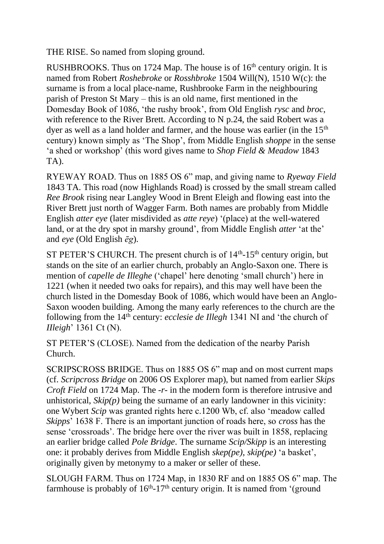THE RISE. So named from sloping ground.

RUSHBROOKS. Thus on 1724 Map. The house is of  $16<sup>th</sup>$  century origin. It is named from Robert *Roshebroke* or *Rosshbroke* 1504 Will(N), 1510 W(c): the surname is from a local place-name, Rushbrooke Farm in the neighbouring parish of Preston St Mary – this is an old name, first mentioned in the Domesday Book of 1086, 'the rushy brook', from Old English *rysc* and *broc*, with reference to the River Brett. According to N p.24, the said Robert was a dyer as well as a land holder and farmer, and the house was earlier (in the 15<sup>th</sup>) century) known simply as 'The Shop', from Middle English *shoppe* in the sense 'a shed or workshop' (this word gives name to *Shop Field & Meadow* 1843 TA).

RYEWAY ROAD. Thus on 1885 OS 6" map, and giving name to *Ryeway Field* 1843 TA. This road (now Highlands Road) is crossed by the small stream called *Ree Brook* rising near Langley Wood in Brent Eleigh and flowing east into the River Brett just north of Wagger Farm. Both names are probably from Middle English *atter eye* (later misdivided as *atte reye*) '(place) at the well-watered land, or at the dry spot in marshy ground', from Middle English *atter* 'at the' and *eye* (Old English *ēg*).

ST PETER'S CHURCH. The present church is of  $14<sup>th</sup>$ -15<sup>th</sup> century origin, but stands on the site of an earlier church, probably an Anglo-Saxon one. There is mention of *capelle de Illeghe* ('chapel' here denoting 'small church') here in 1221 (when it needed two oaks for repairs), and this may well have been the church listed in the Domesday Book of 1086, which would have been an Anglo-Saxon wooden building. Among the many early references to the church are the following from the 14th century: *ecclesie de Illegh* 1341 NI and 'the church of *IIleigh*' 1361 Ct (N).

ST PETER'S (CLOSE). Named from the dedication of the nearby Parish Church.

SCRIPSCROSS BRIDGE. Thus on 1885 OS 6" map and on most current maps (cf. *Scripcross Bridge* on 2006 OS Explorer map), but named from earlier *Skips Croft Field* on 1724 Map. The *-r-* in the modern form is therefore intrusive and unhistorical,  $\mathcal{S}kip(p)$  being the surname of an early landowner in this vicinity: one Wybert *Scip* was granted rights here c.1200 Wb, cf. also 'meadow called *Skipps*' 1638 F. There is an important junction of roads here, so *cross* has the sense 'crossroads'. The bridge here over the river was built in 1858, replacing an earlier bridge called *Pole Bridge*. The surname *Scip/Skipp* is an interesting one: it probably derives from Middle English *skep(pe)*, *skip(pe)* 'a basket', originally given by metonymy to a maker or seller of these.

SLOUGH FARM. Thus on 1724 Map, in 1830 RF and on 1885 OS 6" map. The farmhouse is probably of  $16<sup>th</sup>$ -17<sup>th</sup> century origin. It is named from '(ground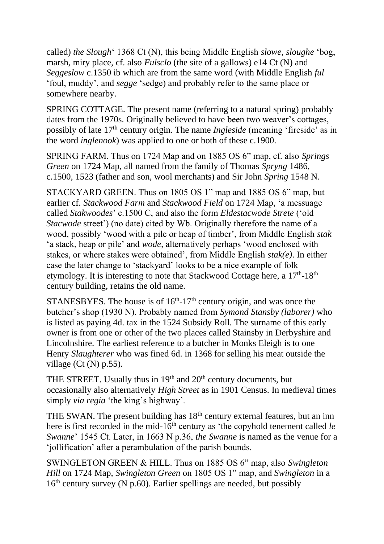called) *the Slough*' 1368 Ct (N), this being Middle English *slowe*, *sloughe* 'bog, marsh, miry place, cf. also *Fulsclo* (the site of a gallows) e14 Ct (N) and *Seggeslow* c.1350 ib which are from the same word (with Middle English *ful* 'foul, muddy', and *segge* 'sedge) and probably refer to the same place or somewhere nearby.

SPRING COTTAGE. The present name (referring to a natural spring) probably dates from the 1970s. Originally believed to have been two weaver's cottages, possibly of late 17th century origin. The name *Ingleside* (meaning 'fireside' as in the word *inglenook*) was applied to one or both of these c.1900.

SPRING FARM. Thus on 1724 Map and on 1885 OS 6" map, cf. also *Springs Green* on 1724 Map, all named from the family of Thomas *Spryng* 1486, c.1500, 1523 (father and son, wool merchants) and Sir John *Spring* 1548 N.

STACKYARD GREEN. Thus on 1805 OS 1" map and 1885 OS 6" map, but earlier cf. *Stackwood Farm* and *Stackwood Field* on 1724 Map, 'a messuage called *Stakwoodes*' c.1500 C, and also the form *Eldestacwode Strete* ('old *Stacwode* street') (no date) cited by Wb. Originally therefore the name of a wood, possibly 'wood with a pile or heap of timber', from Middle English *stak* 'a stack, heap or pile' and *wode*, alternatively perhaps 'wood enclosed with stakes, or where stakes were obtained', from Middle English *stak(e)*. In either case the later change to 'stackyard' looks to be a nice example of folk etymology. It is interesting to note that Stackwood Cottage here, a 17<sup>th</sup>-18<sup>th</sup> century building, retains the old name.

STANESBYES. The house is of  $16<sup>th</sup>$ -17<sup>th</sup> century origin, and was once the butcher's shop (1930 N). Probably named from *Symond Stansby (laborer)* who is listed as paying 4d. tax in the 1524 Subsidy Roll. The surname of this early owner is from one or other of the two places called Stainsby in Derbyshire and Lincolnshire. The earliest reference to a butcher in Monks Eleigh is to one Henry *Slaughterer* who was fined 6d. in 1368 for selling his meat outside the village ( $Ct$  (N) p.55).

THE STREET. Usually thus in  $19<sup>th</sup>$  and  $20<sup>th</sup>$  century documents, but occasionally also alternatively *High Street* as in 1901 Census. In medieval times simply *via regia* 'the king's highway'.

THE SWAN. The present building has  $18<sup>th</sup>$  century external features, but an inn here is first recorded in the mid-16<sup>th</sup> century as 'the copyhold tenement called *le Swanne*' 1545 Ct. Later, in 1663 N p.36, *the Swanne* is named as the venue for a 'jollification' after a perambulation of the parish bounds.

SWINGLETON GREEN & HILL. Thus on 1885 OS 6" map, also *Swingleton Hill* on 1724 Map, *Swingleton Green* on 1805 OS 1" map, and *Swingleton* in a  $16<sup>th</sup>$  century survey (N p.60). Earlier spellings are needed, but possibly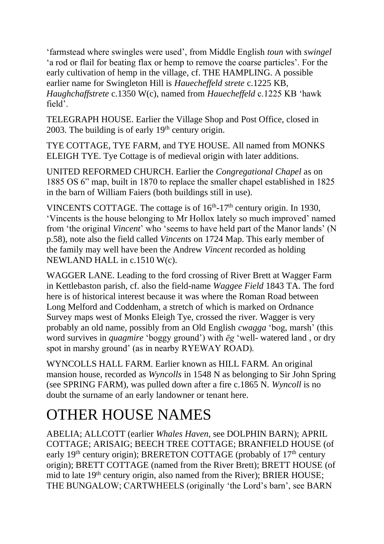'farmstead where swingles were used', from Middle English *toun* with *swingel* 'a rod or flail for beating flax or hemp to remove the coarse particles'. For the early cultivation of hemp in the village, cf. THE HAMPLING. A possible earlier name for Swingleton Hill is *Hauecheffeld strete* c.1225 KB, *Haughchaffstrete* c.1350 W(c), named from *Hauecheffeld* c.1225 KB 'hawk field'.

TELEGRAPH HOUSE. Earlier the Village Shop and Post Office, closed in 2003. The building is of early  $19<sup>th</sup>$  century origin.

TYE COTTAGE, TYE FARM, and TYE HOUSE. All named from MONKS ELEIGH TYE. Tye Cottage is of medieval origin with later additions.

UNITED REFORMED CHURCH. Earlier the *Congregational Chapel* as on 1885 OS 6" map, built in 1870 to replace the smaller chapel established in 1825 in the barn of William Faiers (both buildings still in use).

VINCENTS COTTAGE. The cottage is of  $16<sup>th</sup>$ -17<sup>th</sup> century origin. In 1930, 'Vincents is the house belonging to Mr Hollox lately so much improved' named from 'the original *Vincent*' who 'seems to have held part of the Manor lands' (N p.58), note also the field called *Vincents* on 1724 Map. This early member of the family may well have been the Andrew *Vincent* recorded as holding NEWLAND HALL in c.1510 W(c).

WAGGER LANE. Leading to the ford crossing of River Brett at Wagger Farm in Kettlebaston parish, cf. also the field-name *Waggee Field* 1843 TA. The ford here is of historical interest because it was where the Roman Road between Long Melford and Coddenham, a stretch of which is marked on Ordnance Survey maps west of Monks Eleigh Tye, crossed the river. Wagger is very probably an old name, possibly from an Old English *cwagga* 'bog, marsh' (this word survives in *quagmire* 'boggy ground') with *ēg* 'well- watered land , or dry spot in marshy ground' (as in nearby RYEWAY ROAD).

WYNCOLLS HALL FARM. Earlier known as HILL FARM. An original mansion house, recorded as *Wyncolls* in 1548 N as belonging to Sir John Spring (see SPRING FARM), was pulled down after a fire c.1865 N. *Wyncoll* is no doubt the surname of an early landowner or tenant here.

## OTHER HOUSE NAMES

ABELIA; ALLCOTT (earlier *Whales Haven*, see DOLPHIN BARN); APRIL COTTAGE; ARISAIG; BEECH TREE COTTAGE; BRANFIELD HOUSE (of early 19<sup>th</sup> century origin); BRERETON COTTAGE (probably of  $17<sup>th</sup>$  century origin); BRETT COTTAGE (named from the River Brett); BRETT HOUSE (of mid to late 19<sup>th</sup> century origin, also named from the River); BRIER HOUSE; THE BUNGALOW; CARTWHEELS (originally 'the Lord's barn', see BARN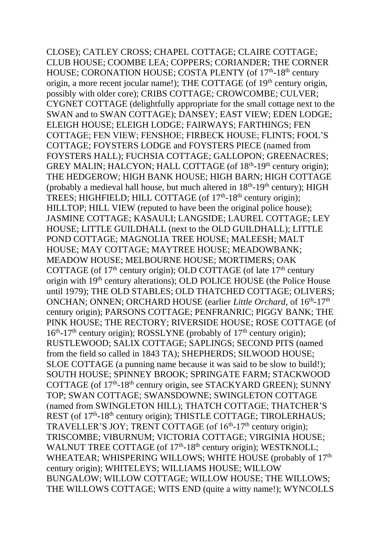CLOSE); CATLEY CROSS; CHAPEL COTTAGE; CLAIRE COTTAGE; CLUB HOUSE; COOMBE LEA; COPPERS; CORIANDER; THE CORNER HOUSE; CORONATION HOUSE; COSTA PLENTY (of 17<sup>th</sup>-18<sup>th</sup> century origin, a more recent jocular name!); THE COTTAGE (of 19th century origin, possibly with older core); CRIBS COTTAGE; CROWCOMBE; CULVER; CYGNET COTTAGE (delightfully appropriate for the small cottage next to the SWAN and to SWAN COTTAGE); DANSEY; EAST VIEW; EDEN LODGE; ELEIGH HOUSE; ELEIGH LODGE; FAIRWAYS; FARTHINGS; FEN COTTAGE; FEN VIEW; FENSHOE; FIRBECK HOUSE; FLINTS; FOOL'S COTTAGE; FOYSTERS LODGE and FOYSTERS PIECE (named from FOYSTERS HALL); FUCHSIA COTTAGE; GALLOPON; GREENACRES; GREY MALIN; HALCYON; HALL COTTAGE (of 18<sup>th</sup>-19<sup>th</sup> century origin); THE HEDGEROW; HIGH BANK HOUSE; HIGH BARN; HIGH COTTAGE (probably a medieval hall house, but much altered in  $18<sup>th</sup>$ -19<sup>th</sup> century); HIGH TREES; HIGHFIELD; HILL COTTAGE (of 17<sup>th</sup>-18<sup>th</sup> century origin); HILLTOP; HILL VIEW (reputed to have been the original police house); JASMINE COTTAGE; KASAULI; LANGSIDE; LAUREL COTTAGE; LEY HOUSE; LITTLE GUILDHALL (next to the OLD GUILDHALL); LITTLE POND COTTAGE; MAGNOLIA TREE HOUSE; MALEESH; MALT HOUSE; MAY COTTAGE; MAYTREE HOUSE; MEADOWBANK; MEADOW HOUSE; MELBOURNE HOUSE; MORTIMERS; OAK COTTAGE (of  $17<sup>th</sup>$  century origin); OLD COTTAGE (of late  $17<sup>th</sup>$  century origin with 19th century alterations); OLD POLICE HOUSE (the Police House until 1979); THE OLD STABLES; OLD THATCHED COTTAGE; OLIVERS; ONCHAN; ONNEN; ORCHARD HOUSE (earlier *Little Orchard*, of 16<sup>th</sup>-17<sup>th</sup> century origin); PARSONS COTTAGE; PENFRANRIC; PIGGY BANK; THE PINK HOUSE; THE RECTORY; RIVERSIDE HOUSE; ROSE COTTAGE (of 16<sup>th</sup>-17<sup>th</sup> century origin); ROSSLYNE (probably of 17<sup>th</sup> century origin); RUSTLEWOOD; SALIX COTTAGE; SAPLINGS; SECOND PITS (named from the field so called in 1843 TA); SHEPHERDS; SILWOOD HOUSE; SLOE COTTAGE (a punning name because it was said to be slow to build!); SOUTH HOUSE; SPINNEY BROOK; SPRINGATE FARM; STACKWOOD COTTAGE (of 17<sup>th</sup>-18<sup>th</sup> century origin, see STACKYARD GREEN); SUNNY TOP; SWAN COTTAGE; SWANSDOWNE; SWINGLETON COTTAGE (named from SWINGLETON HILL); THATCH COTTAGE; THATCHER'S REST (of 17<sup>th</sup>-18<sup>th</sup> century origin); THISTLE COTTAGE; TIROLERHAUS; TRAVELLER'S JOY; TRENT COTTAGE (of 16<sup>th</sup>-17<sup>th</sup> century origin); TRISCOMBE; VIBURNUM; VICTORIA COTTAGE; VIRGINIA HOUSE; WALNUT TREE COTTAGE (of 17<sup>th</sup>-18<sup>th</sup> century origin); WESTKNOLL; WHEATEAR; WHISPERING WILLOWS; WHITE HOUSE (probably of 17<sup>th</sup> century origin); WHITELEYS; WILLIAMS HOUSE; WILLOW BUNGALOW; WILLOW COTTAGE; WILLOW HOUSE; THE WILLOWS; THE WILLOWS COTTAGE; WITS END (quite a witty name!); WYNCOLLS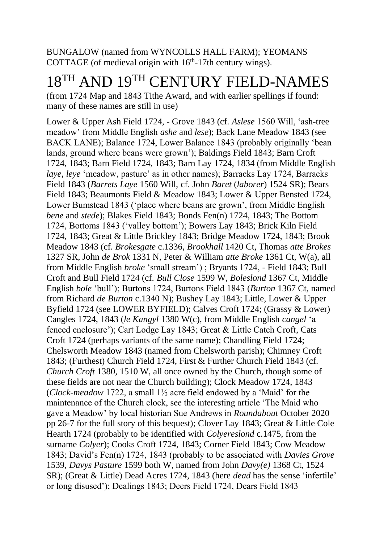BUNGALOW (named from WYNCOLLS HALL FARM); YEOMANS COTTAGE (of medieval origin with  $16<sup>th</sup>$ -17th century wings).

### 18TH AND 19TH CENTURY FIELD-NAMES

(from 1724 Map and 1843 Tithe Award, and with earlier spellings if found: many of these names are still in use)

Lower & Upper Ash Field 1724, - Grove 1843 (cf. *Aslese* 1560 Will, 'ash-tree meadow' from Middle English *ashe* and *lese*); Back Lane Meadow 1843 (see BACK LANE); Balance 1724, Lower Balance 1843 (probably originally 'bean lands, ground where beans were grown'); Baldings Field 1843; Barn Croft 1724, 1843; Barn Field 1724, 1843; Barn Lay 1724, 1834 (from Middle English *laye*, *leye* 'meadow, pasture' as in other names); Barracks Lay 1724, Barracks Field 1843 (*Barrets Laye* 1560 Will, cf. John *Baret* (*laborer*) 1524 SR); Bears Field 1843; Beaumonts Field & Meadow 1843; Lower & Upper Bensted 1724, Lower Bumstead 1843 ('place where beans are grown', from Middle English *bene* and *stede*); Blakes Field 1843; Bonds Fen(n) 1724, 1843; The Bottom 1724, Bottoms 1843 ('valley bottom'); Bowers Lay 1843; Brick Kiln Field 1724, 1843; Great & Little Brickley 1843; Bridge Meadow 1724, 1843; Brook Meadow 1843 (cf. *Brokesgate* c.1336, *Brookhall* 1420 Ct, Thomas *atte Brokes* 1327 SR, John *de Brok* 1331 N, Peter & William *atte Broke* 1361 Ct, W(a), all from Middle English *broke* 'small stream') ; Bryants 1724, - Field 1843; Bull Croft and Bull Field 1724 (cf. *Bull Close* 1599 W, *Boleslond* 1367 Ct, Middle English *bole* 'bull'); Burtons 1724, Burtons Field 1843 (*Burton* 1367 Ct, named from Richard *de Burton* c.1340 N); Bushey Lay 1843; Little, Lower & Upper Byfield 1724 (see LOWER BYFIELD); Calves Croft 1724; (Grassy & Lower) Cangles 1724, 1843 (*le Kangyl* 1380 W(c), from Middle English *cangel* 'a fenced enclosure'); Cart Lodge Lay 1843; Great & Little Catch Croft, Cats Croft 1724 (perhaps variants of the same name); Chandling Field 1724; Chelsworth Meadow 1843 (named from Chelsworth parish); Chimney Croft 1843; (Furthest) Church Field 1724, First & Further Church Field 1843 (cf. *Church Croft* 1380, 1510 W, all once owned by the Church, though some of these fields are not near the Church building); Clock Meadow 1724, 1843 (*Clock-meadow* 1722, a small 1½ acre field endowed by a 'Maid' for the maintenance of the Church clock, see the interesting article 'The Maid who gave a Meadow' by local historian Sue Andrews in *Roundabout* October 2020 pp 26-7 for the full story of this bequest); Clover Lay 1843; Great & Little Cole Hearth 1724 (probably to be identified with *Colyereslond* c.1475, from the surname *Colyer*); Cooks Croft 1724, 1843; Corner Field 1843; Cow Meadow 1843; David's Fen(n) 1724, 1843 (probably to be associated with *Davies Grove* 1539, *Davys Pasture* 1599 both W, named from John *Davy(e)* 1368 Ct, 1524 SR); (Great & Little) Dead Acres 1724, 1843 (here *dead* has the sense 'infertile' or long disused'); Dealings 1843; Deers Field 1724, Dears Field 1843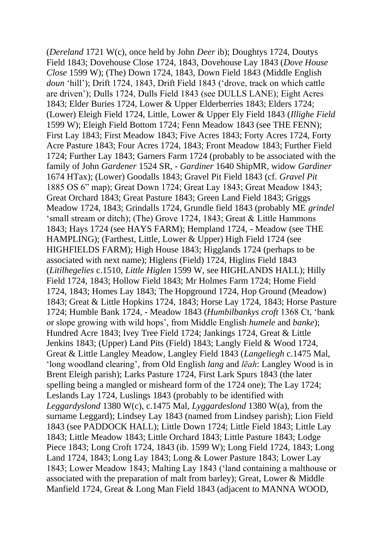(*Dereland* 1721 W(c), once held by John *Deer* ib); Doughtys 1724, Doutys Field 1843; Dovehouse Close 1724, 1843, Dovehouse Lay 1843 (*Dove House Close* 1599 W); (The) Down 1724, 1843, Down Field 1843 (Middle English *doun* 'hill'); Drift 1724, 1843, Drift Field 1843 ('drove, track on which cattle are driven'); Dulls 1724, Dulls Field 1843 (see DULLS LANE); Eight Acres 1843; Elder Buries 1724, Lower & Upper Elderberries 1843; Elders 1724; (Lower) Eleigh Field 1724, Little, Lower & Upper Ely Field 1843 (*Illighe Field* 1599 W); Eleigh Field Bottom 1724; Fenn Meadow 1843 (see THE FENN); First Lay 1843; First Meadow 1843; Five Acres 1843; Forty Acres 1724, Forty Acre Pasture 1843; Four Acres 1724, 1843; Front Meadow 1843; Further Field 1724; Further Lay 1843; Garners Farm 1724 (probably to be associated with the family of John *Gardener* 1524 SR, - *Gardiner* 1640 ShipMR, widow *Gardiner* 1674 HTax); (Lower) Goodalls 1843; Gravel Pit Field 1843 (cf. *Gravel Pit* 1885 OS 6" map); Great Down 1724; Great Lay 1843; Great Meadow 1843; Great Orchard 1843; Great Pasture 1843; Green Land Field 1843; Griggs Meadow 1724, 1843; Grindalls 1724, Grundle field 1843 (probably ME *grindel* 'small stream or ditch); (The) Grove 1724, 1843; Great & Little Hammons 1843; Hays 1724 (see HAYS FARM); Hempland 1724, - Meadow (see THE HAMPLING); (Farthest, Little, Lower & Upper) High Field 1724 (see HIGHFIELDS FARM); High House 1843; Higglands 1724 (perhaps to be associated with next name); Higlens (Field) 1724, Higlins Field 1843 (*Litilhegelies* c.1510, *Little Higlen* 1599 W, see HIGHLANDS HALL); Hilly Field 1724, 1843; Hollow Field 1843; Mr Holmes Farm 1724; Home Field 1724, 1843; Homes Lay 1843; The Hopground 1724, Hop Ground (Meadow) 1843; Great & Little Hopkins 1724, 1843; Horse Lay 1724, 1843; Horse Pasture 1724; Humble Bank 1724, - Meadow 1843 (*Humbilbankys croft* 1368 Ct, 'bank or slope growing with wild hops', from Middle English *humele* and *banke*); Hundred Acre 1843; Ivey Tree Field 1724; Jankings 1724, Great & Little Jenkins 1843; (Upper) Land Pits (Field) 1843; Langly Field & Wood 1724, Great & Little Langley Meadow, Langley Field 1843 (*Langeliegh* c.1475 Mal, 'long woodland clearing', from Old English *lang* and *lēah*: Langley Wood is in Brent Eleigh parish); Larks Pasture 1724, First Lark Spurs 1843 (the later spelling being a mangled or misheard form of the 1724 one); The Lay 1724; Leslands Lay 1724, Luslings 1843 (probably to be identified with *Leggardyslond* 1380 W(c), c.1475 Mal, *Lyggardeslond* 1380 W(a), from the surname Leggard); Lindsey Lay 1843 (named from Lindsey parish); Lion Field 1843 (see PADDOCK HALL); Little Down 1724; Little Field 1843; Little Lay 1843; Little Meadow 1843; Little Orchard 1843; Little Pasture 1843; Lodge Piece 1843; Long Croft 1724, 1843 (ib. 1599 W); Long Field 1724, 1843; Long Land 1724, 1843; Long Lay 1843; Long & Lower Pasture 1843; Lower Lay 1843; Lower Meadow 1843; Malting Lay 1843 ('land containing a malthouse or associated with the preparation of malt from barley); Great, Lower & Middle Manfield 1724, Great & Long Man Field 1843 (adjacent to MANNA WOOD,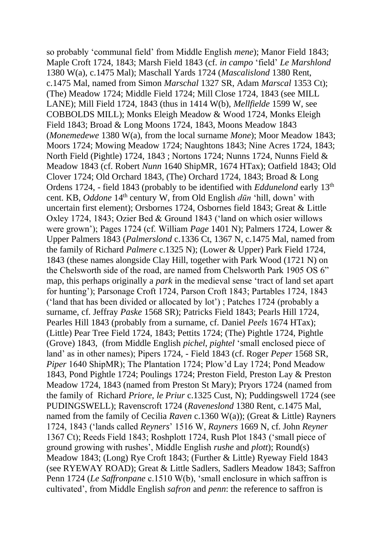so probably 'communal field' from Middle English *mene*); Manor Field 1843; Maple Croft 1724, 1843; Marsh Field 1843 (cf. *in campo* 'field' *Le Marshlond* 1380 W(a), c.1475 Mal); Maschall Yards 1724 (*Mascalislond* 1380 Rent, c.1475 Mal, named from Simon *Marschal* 1327 SR, Adam *Marscal* 1353 Ct); (The) Meadow 1724; Middle Field 1724; Mill Close 1724, 1843 (see MILL LANE); Mill Field 1724, 1843 (thus in 1414 W(b), *Mellfielde* 1599 W, see COBBOLDS MILL); Monks Eleigh Meadow & Wood 1724, Monks Eleigh Field 1843; Broad & Long Moons 1724, 1843, Moons Meadow 1843 (*Monemedewe* 1380 W(a), from the local surname *Mone*); Moor Meadow 1843; Moors 1724; Mowing Meadow 1724; Naughtons 1843; Nine Acres 1724, 1843; North Field (Pightle) 1724, 1843 ; Nortons 1724; Nunns 1724, Nunns Field & Meadow 1843 (cf. Robert *Nunn* 1640 ShipMR, 1674 HTax); Oatfield 1843; Old Clover 1724; Old Orchard 1843, (The) Orchard 1724, 1843; Broad & Long Ordens 1724, - field 1843 (probably to be identified with *Eddunelond* early 13th cent. KB, *Oddone* 14th century W, from Old English *dūn* 'hill, down' with uncertain first element); Orsbornes 1724, Osbornes field 1843; Great & Little Oxley 1724, 1843; Ozier Bed & Ground 1843 ('land on which osier willows were grown'); Pages 1724 (cf. William *Page* 1401 N); Palmers 1724, Lower & Upper Palmers 1843 (*Palmerslond* c.1336 Ct, 1367 N, c.1475 Mal, named from the family of Richard *Palmere* c.1325 N); (Lower & Upper) Park Field 1724, 1843 (these names alongside Clay Hill, together with Park Wood (1721 N) on the Chelsworth side of the road, are named from Chelsworth Park 1905 OS 6" map, this perhaps originally a *park* in the medieval sense 'tract of land set apart for hunting'); Parsonage Croft 1724, Parson Croft 1843; Partables 1724, 1843 ('land that has been divided or allocated by lot') ; Patches 1724 (probably a surname, cf. Jeffray *Paske* 1568 SR); Patricks Field 1843; Pearls Hill 1724, Pearles Hill 1843 (probably from a surname, cf. Daniel *Peels* 1674 HTax); (Little) Pear Tree Field 1724, 1843; Pettits 1724; (The) Pightle 1724, Pightle (Grove) 1843, (from Middle English *pichel*, *pightel* 'small enclosed piece of land' as in other names); Pipers 1724, - Field 1843 (cf. Roger *Peper* 1568 SR, *Piper* 1640 ShipMR); The Plantation 1724; Plow'd Lay 1724; Pond Meadow 1843, Pond Pightle 1724; Poulings 1724; Preston Field, Preston Lay & Preston Meadow 1724, 1843 (named from Preston St Mary); Pryors 1724 (named from the family of Richard *Priore*, *le Priur* c.1325 Cust, N); Puddingswell 1724 (see PUDINGSWELL); Ravenscroft 1724 (*Raveneslond* 1380 Rent, c.1475 Mal, named from the family of Cecilia *Raven* c.1360 W(a)); (Great & Little) Rayners 1724, 1843 ('lands called *Reyners*' 1516 W, *Rayners* 1669 N, cf. John *Reyner* 1367 Ct); Reeds Field 1843; Roshplott 1724, Rush Plot 1843 ('small piece of ground growing with rushes', Middle English *rushe* and *plott*); Round(s) Meadow 1843; (Long) Rye Croft 1843; (Further & Little) Ryeway Field 1843 (see RYEWAY ROAD); Great & Little Sadlers, Sadlers Meadow 1843; Saffron Penn 1724 (*Le Saffronpane* c.1510 W(b), 'small enclosure in which saffron is cultivated', from Middle English *safron* and *penn*: the reference to saffron is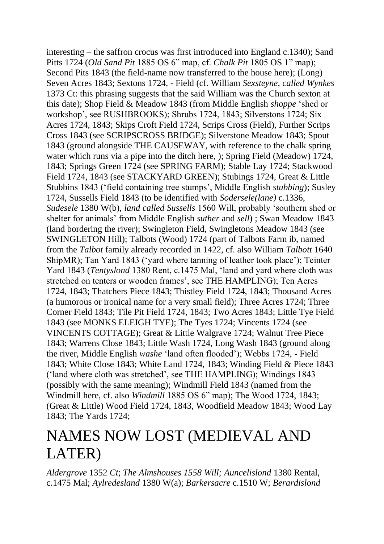interesting – the saffron crocus was first introduced into England c.1340); Sand Pitts 1724 (*Old Sand Pit* 1885 OS 6" map, cf. *Chalk Pit* 1805 OS 1" map); Second Pits 1843 (the field-name now transferred to the house here); (Long) Seven Acres 1843; Sextons 1724, - Field (cf. William *Sexsteyne*, *called Wynkes* 1373 Ct: this phrasing suggests that the said William was the Church sexton at this date); Shop Field & Meadow 1843 (from Middle English *shoppe* 'shed or workshop', see RUSHBROOKS); Shrubs 1724, 1843; Silverstons 1724; Six Acres 1724, 1843; Skips Croft Field 1724, Scrips Cross (Field), Further Scrips Cross 1843 (see SCRIPSCROSS BRIDGE); Silverstone Meadow 1843; Spout 1843 (ground alongside THE CAUSEWAY, with reference to the chalk spring water which runs via a pipe into the ditch here, ); Spring Field (Meadow) 1724, 1843; Springs Green 1724 (see SPRING FARM); Stable Lay 1724; Stackwood Field 1724, 1843 (see STACKYARD GREEN); Stubings 1724, Great & Little Stubbins 1843 ('field containing tree stumps', Middle English *stubbing*); Susley 1724, Sussells Field 1843 (to be identified with *Sodersele(lane)* c.1336, *Sudesele* 1380 W(b), *land called Sussells* 1560 Will, probably 'southern shed or shelter for animals' from Middle English *suther* and *sell*) ; Swan Meadow 1843 (land bordering the river); Swingleton Field, Swingletons Meadow 1843 (see SWINGLETON Hill); Talbots (Wood) 1724 (part of Talbots Farm ib, named from the *Talbot* family already recorded in 1422, cf. also William *Talbott* 1640 ShipMR); Tan Yard 1843 ('yard where tanning of leather took place'); Teinter Yard 1843 (*Tentyslond* 1380 Rent, c.1475 Mal, 'land and yard where cloth was stretched on tenters or wooden frames', see THE HAMPLING); Ten Acres 1724, 1843; Thatchers Piece 1843; Thistley Field 1724, 1843; Thousand Acres (a humorous or ironical name for a very small field); Three Acres 1724; Three Corner Field 1843; Tile Pit Field 1724, 1843; Two Acres 1843; Little Tye Field 1843 (see MONKS ELEIGH TYE); The Tyes 1724; Vincents 1724 (see VINCENTS COTTAGE); Great & Little Walgrave 1724; Walnut Tree Piece 1843; Warrens Close 1843; Little Wash 1724, Long Wash 1843 (ground along the river, Middle English *washe* 'land often flooded'); Webbs 1724, - Field 1843; White Close 1843; White Land 1724, 1843; Winding Field & Piece 1843 ('land where cloth was stretched', see THE HAMPLING); Windings 1843 (possibly with the same meaning); Windmill Field 1843 (named from the Windmill here, cf. also *Windmill* 1885 OS 6" map); The Wood 1724, 1843; (Great & Little) Wood Field 1724, 1843, Woodfield Meadow 1843; Wood Lay 1843; The Yards 1724;

### NAMES NOW LOST (MEDIEVAL AND LATER)

*Aldergrove* 1352 *Ct*; *The Almshouses 1558 Will; Auncelislond* 1380 Rental, c.1475 Mal; *Aylredesland* 1380 W(a); *Barkersacre* c.1510 W; *Berardislond*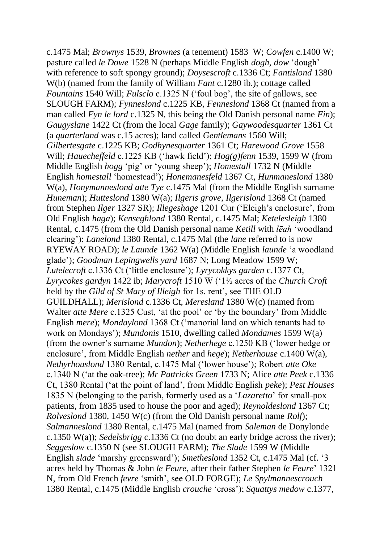c.1475 Mal; *Brownys* 1539, *Brownes* (a tenement) 1583 W; *Cowfen* c.1400 W; pasture called *le Dowe* 1528 N (perhaps Middle English *dogh*, *dow* 'dough' with reference to soft spongy ground); *Doysescroft* c.1336 Ct; *Fantislond* 1380 W(b) (named from the family of William *Fant* c.1280 ib.); cottage called *Fountains* 1540 Will; *Fulsclo* c.1325 N ('foul bog', the site of gallows, see SLOUGH FARM); *Fynneslond* c.1225 KB, *Fenneslond* 1368 Ct (named from a man called *Fyn le lord* c.1325 N, this being the Old Danish personal name *Fin*); *Gaugyslane* 1422 Ct (from the local *Gage* family); *Gaywoodesquarter* 1361 Ct (a *quarterland* was c.15 acres); land called *Gentlemans* 1560 Will; *Gilbertesgate* c.1225 KB; *Godhynesquarter* 1361 Ct; *Harewood Grove* 1558 Will; *Hauecheffeld* c.1225 KB ('hawk field'); *Hog(g)fenn* 1539, 1599 W (from Middle English *hogg* 'pig' or 'young sheep'); *Homestall* 1732 N (Middle English *homestall* 'homestead'); *Honemanesfeld* 1367 Ct, *Hunmaneslond* 1380 W(a), *Honymanneslond atte Tye* c.1475 Mal (from the Middle English surname *Huneman*); *Hutteslond* 1380 W(a); *Ilgeris grove*, *Ilgerislond* 1368 Ct (named from Stephen *Ilger* 1327 SR); *Illegeshage* 1201 Cur ('Eleigh's enclosure', from Old English *haga*); *Kenseghlond* 1380 Rental, c.1475 Mal; *Ketelesleigh* 1380 Rental, c.1475 (from the Old Danish personal name *Ketill* with *lēah* 'woodland clearing'); *Lanelond* 1380 Rental, c.1475 Mal (the *lane* referred to is now RYEWAY ROAD); *le Launde* 1362 W(a) (Middle English *launde* 'a woodland glade'); *Goodman Lepingwells yard* 1687 N; Long Meadow 1599 W; *Lutelecroft* c.1336 Ct ('little enclosure'); *Lyrycokkys garden* c.1377 Ct, *Lyrycokes gardyn* 1422 ib; *Marycroft* 1510 W ('1½ acres of the *Church Croft* held by the *Gild of St Mary of Illeigh* for 1s. rent', see THE OLD GUILDHALL); *Merislond* c.1336 Ct, *Meresland* 1380 W(c) (named from Walter *atte Mere* c.1325 Cust, 'at the pool' or 'by the boundary' from Middle English *mere*); *Mondaylond* 1368 Ct ('manorial land on which tenants had to work on Mondays'); *Mundonis* 1510, dwelling called *Mondames* 1599 W(a) (from the owner's surname *Mundon*); *Netherhege* c.1250 KB ('lower hedge or enclosure', from Middle English *nether* and *hege*); *Netherhouse* c.1400 W(a), *Nethyrhouslond* 1380 Rental, c.1475 Mal ('lower house'); Robert *atte Oke* c.1340 N ('at the oak-tree); *Mr Pattricks Green* 1733 N; Alice *atte Peek* c.1336 Ct, 1380 Rental ('at the point of land', from Middle English *peke*); *Pest Houses* 1835 N (belonging to the parish, formerly used as a '*Lazaretto*' for small-pox patients, from 1835 used to house the poor and aged); *Reynoldeslond* 1367 Ct; *Rolveslond* 1380, 1450 W(c) (from the Old Danish personal name *Rolf*); *Salmanneslond* 1380 Rental, c.1475 Mal (named from *Saleman* de Donylonde c.1350 W(a)); *Sedelsbrigg* c.1336 Ct (no doubt an early bridge across the river); *Seggeslow* c.1350 N (see SLOUGH FARM); *The Slade* 1599 W (Middle English *slade* 'marshy greensward'); *Smetheslond* 1352 Ct, c.1475 Mal (cf. '3 acres held by Thomas & John *le Feure*, after their father Stephen *le Feure*' 1321 N, from Old French *fevre* 'smith', see OLD FORGE); *Le Spylmannescrouch* 1380 Rental, c.1475 (Middle English *crouche* 'cross'); *Squattys medow* c.1377,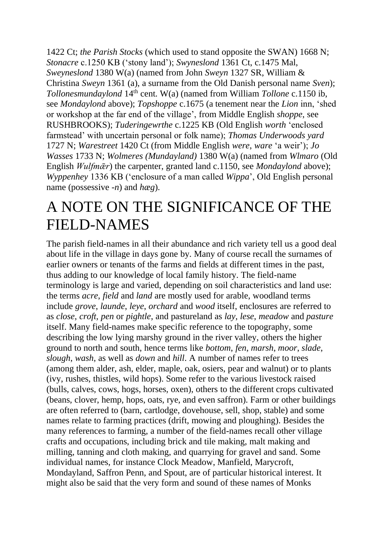1422 Ct; *the Parish Stocks* (which used to stand opposite the SWAN) 1668 N; *Stonacre* c.1250 KB ('stony land'); *Swyneslond* 1361 Ct, c.1475 Mal, *Sweyneslond* 1380 W(a) (named from John *Sweyn* 1327 SR, William & Christina *Sweyn* 1361 (a), a surname from the Old Danish personal name *Sven*); *Tollonesmundaylond* 14<sup>th</sup> cent. W(a) (named from William *Tollone* c.1150 ib, see *Mondaylond* above); *Topshoppe* c.1675 (a tenement near the *Lion* inn, 'shed or workshop at the far end of the village', from Middle English *shoppe*, see RUSHBROOKS); *Tuderingewrthe* c.1225 KB (Old English *worth* 'enclosed farmstead' with uncertain personal or folk name); *Thomas Underwoods yard* 1727 N; *Warestreet* 1420 Ct (from Middle English *were*, *ware* 'a weir'); *Jo Wasses* 1733 N; *Wolmeres (Mundayland)* 1380 W(a) (named from *Wlmaro* (Old English *Wulfmǣr*) the carpenter, granted land c.1150, see *Mondaylond* above); *Wyppenhey* 1336 KB ('enclosure of a man called *Wippa*', Old English personal name (possessive -*n*) and *hæg*).

#### A NOTE ON THE SIGNIFICANCE OF THE FIELD-NAMES

The parish field-names in all their abundance and rich variety tell us a good deal about life in the village in days gone by. Many of course recall the surnames of earlier owners or tenants of the farms and fields at different times in the past, thus adding to our knowledge of local family history. The field-name terminology is large and varied, depending on soil characteristics and land use: the terms *acre*, *field* and *land* are mostly used for arable, woodland terms include *grove*, *launde*, *leye*, *orchard* and *wood* itself, enclosures are referred to as *close*, *croft, pen* or *pightle*, and pastureland as *lay*, *lese*, *meadow* and *pasture* itself. Many field-names make specific reference to the topography, some describing the low lying marshy ground in the river valley, others the higher ground to north and south, hence terms like *bottom*, *fen*, *marsh*, *moor*, *slade*, *slough*, *wash*, as well as *down* and *hill*. A number of names refer to trees (among them alder, ash, elder, maple, oak, osiers, pear and walnut) or to plants (ivy, rushes, thistles, wild hops). Some refer to the various livestock raised (bulls, calves, cows, hogs, horses, oxen), others to the different crops cultivated (beans, clover, hemp, hops, oats, rye, and even saffron). Farm or other buildings are often referred to (barn, cartlodge, dovehouse, sell, shop, stable) and some names relate to farming practices (drift, mowing and ploughing). Besides the many references to farming, a number of the field-names recall other village crafts and occupations, including brick and tile making, malt making and milling, tanning and cloth making, and quarrying for gravel and sand. Some individual names, for instance Clock Meadow, Manfield, Marycroft, Mondayland, Saffron Penn, and Spout, are of particular historical interest. It might also be said that the very form and sound of these names of Monks